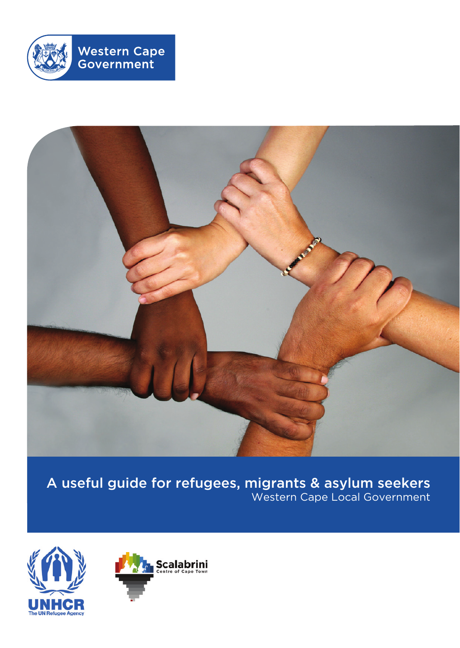



A useful guide for refugees, migrants & asylum seekers Western Cape Local Government



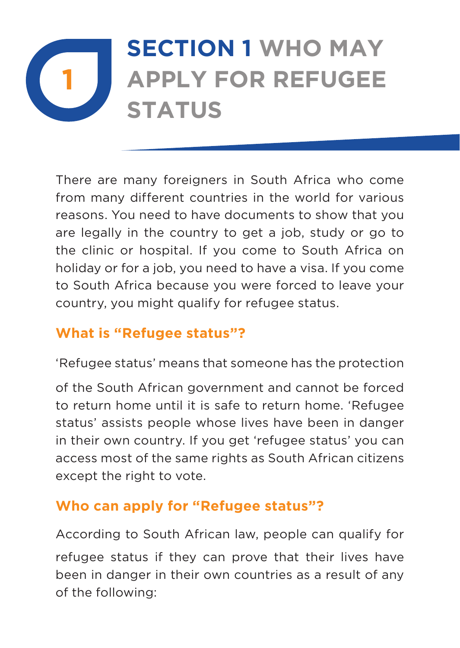## **1 SECTION 1 WHO MAY APPLY FOR REFUGEE STATUS**

There are many foreigners in South Africa who come from many different countries in the world for various reasons. You need to have documents to show that you are legally in the country to get a job, study or go to the clinic or hospital. If you come to South Africa on holiday or for a job, you need to have a visa. If you come to South Africa because you were forced to leave your country, you might qualify for refugee status.

## **What is "Refugee status"?**

'Refugee status' means that someone has the protection

of the South African government and cannot be forced to return home until it is safe to return home. 'Refugee status' assists people whose lives have been in danger in their own country. If you get 'refugee status' you can access most of the same rights as South African citizens except the right to vote.

#### **Who can apply for "Refugee status"?**

According to South African law, people can qualify for refugee status if they can prove that their lives have been in danger in their own countries as a result of any of the following: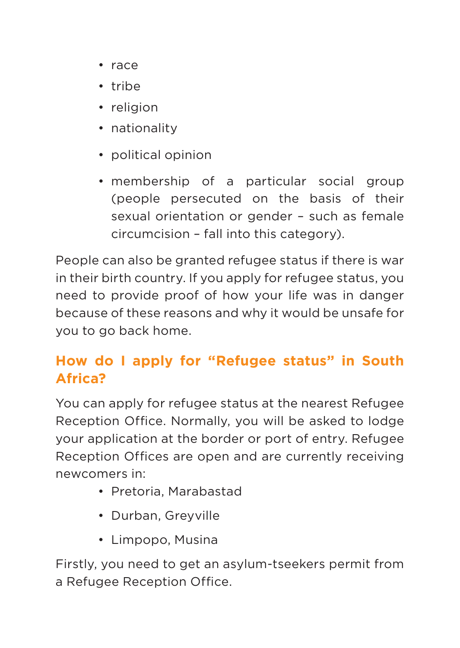- • race
- • tribe
- religion
- nationality
- • political opinion
- membership of a particular social group (people persecuted on the basis of their sexual orientation or gender – such as female circumcision – fall into this category).

People can also be granted refugee status if there is war in their birth country. If you apply for refugee status, you need to provide proof of how your life was in danger because of these reasons and why it would be unsafe for you to go back home.

## **How do I apply for "Refugee status" in South Africa?**

You can apply for refugee status at the nearest Refugee Reception Office. Normally, you will be asked to lodge your application at the border or port of entry. Refugee Reception Offices are open and are currently receiving newcomers in:

- • Pretoria, Marabastad
- • Durban, Greyville
- • Limpopo, Musina

Firstly, you need to get an asylum-tseekers permit from a Refugee Reception Office.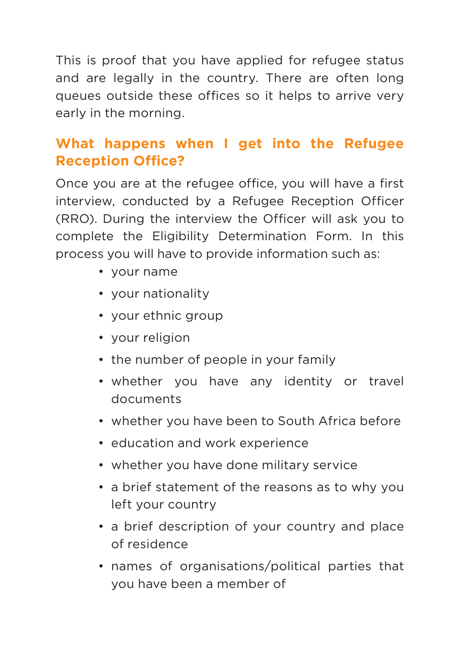This is proof that you have applied for refugee status and are legally in the country. There are often long queues outside these offices so it helps to arrive very early in the morning.

## **What happens when I get into the Refugee Reception Office?**

Once you are at the refugee office, you will have a first interview, conducted by a Refugee Reception Officer (RRO). During the interview the Officer will ask you to complete the Eligibility Determination Form. In this process you will have to provide information such as:

- • your name
- • your nationality
- • your ethnic group
- vour religion
- the number of people in your family
- whether you have any identity or travel documents
- whether you have been to South Africa before
- • education and work experience
- whether you have done military service
- a brief statement of the reasons as to why you left your country
- a brief description of your country and place of residence
- • names of organisations/political parties that you have been a member of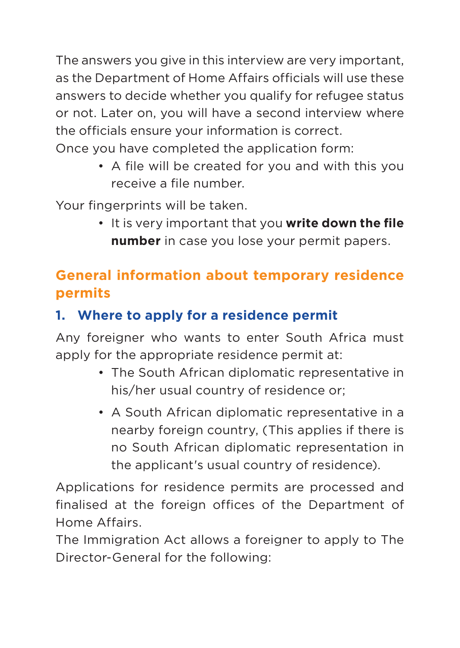The answers you give in this interview are very important, as the Department of Home Affairs officials will use these answers to decide whether you qualify for refugee status or not. Later on, you will have a second interview where the officials ensure your information is correct. Once you have completed the application form:

• A file will be created for you and with this you receive a file number.

Your fingerprints will be taken.

• It is very important that you **write down the file number** in case you lose your permit papers.

## **General information about temporary residence permits**

## **1. Where to apply for a residence permit**

Any foreigner who wants to enter South Africa must apply for the appropriate residence permit at:

- The South African diplomatic representative in his/her usual country of residence or;
- A South African diplomatic representative in a nearby foreign country, (This applies if there is no South African diplomatic representation in the applicant's usual country of residence).

Applications for residence permits are processed and finalised at the foreign offices of the Department of Home Affairs.

The Immigration Act allows a foreigner to apply to The Director-General for the following: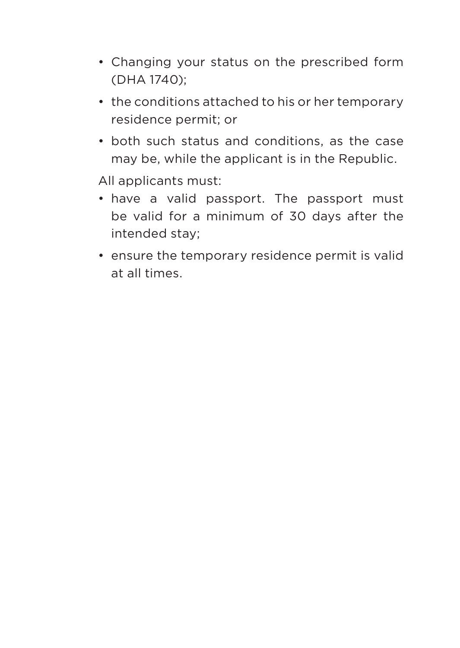- Changing your status on the prescribed form (DHA 1740);
- the conditions attached to his or her temporary residence permit; or
- both such status and conditions, as the case may be, while the applicant is in the Republic.

All applicants must:

- have a valid passport. The passport must be valid for a minimum of 30 days after the intended stay;
- ensure the temporary residence permit is valid at all times.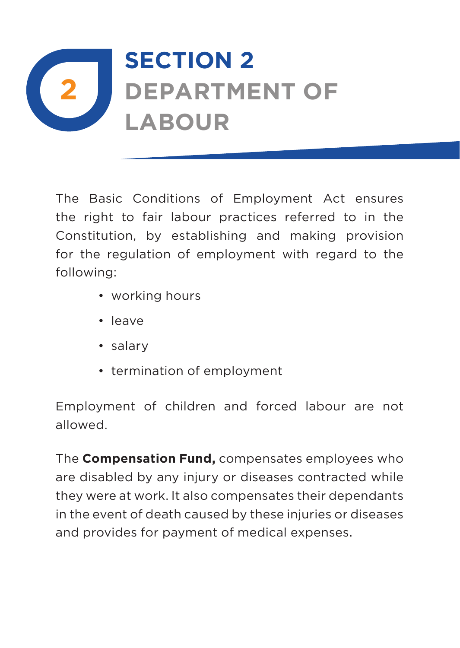

The Basic Conditions of Employment Act ensures the right to fair labour practices referred to in the Constitution, by establishing and making provision for the regulation of employment with regard to the following:

- working hours
- • leave
- • salary
- termination of employment

Employment of children and forced labour are not allowed.

The **Compensation Fund,** compensates employees who are disabled by any injury or diseases contracted while they were at work. It also compensates their dependants in the event of death caused by these injuries or diseases and provides for payment of medical expenses.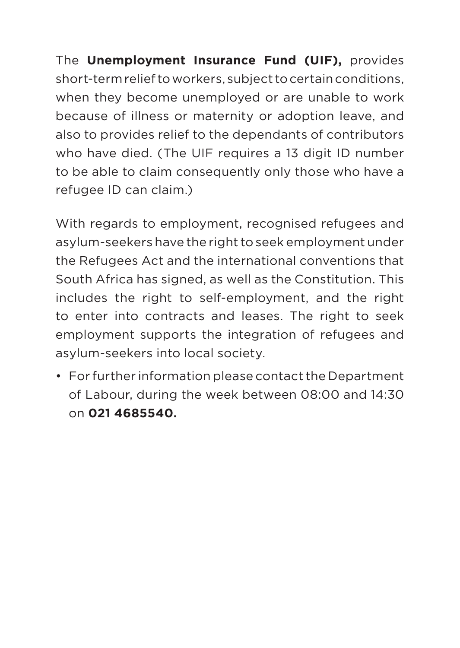The **Unemployment Insurance Fund (UIF),** provides short-term relief to workers, subject to certain conditions, when they become unemployed or are unable to work because of illness or maternity or adoption leave, and also to provides relief to the dependants of contributors who have died. (The UIF requires a 13 digit ID number to be able to claim consequently only those who have a refugee ID can claim.)

With regards to employment, recognised refugees and asylum-seekers have the right to seek employment under the Refugees Act and the international conventions that South Africa has signed, as well as the Constitution. This includes the right to self-employment, and the right to enter into contracts and leases. The right to seek employment supports the integration of refugees and asylum-seekers into local society.

• For further information please contact the Department of Labour, during the week between 08:00 and 14:30 on **021 4685540.**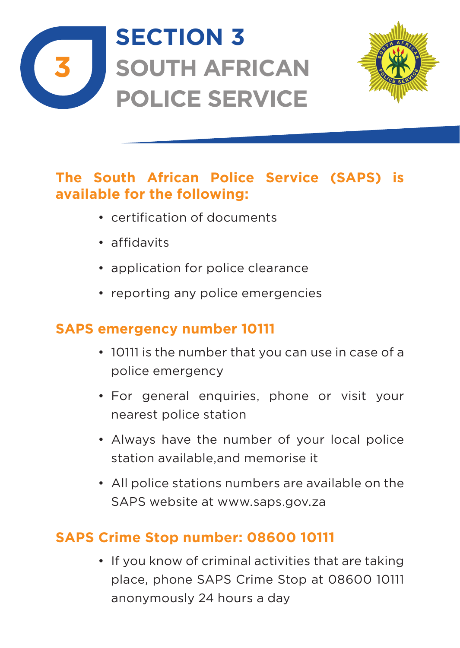

# **SECTION 3 SOUTH AFRICAN POLICE SERVICE**



### **The South African Police Service (SAPS) is available for the following:**

- • certification of documents
- • affidavits
- application for police clearance
- reporting any police emergencies

### **SAPS emergency number 10111**

- 10111 is the number that you can use in case of a police emergency
- For general enquiries, phone or visit your nearest police station
- • Always have the number of your local police station available,and memorise it
- • All police stations numbers are available on the SAPS website at www.saps.gov.za

## **SAPS Crime Stop number: 08600 10111**

• If you know of criminal activities that are taking place, phone SAPS Crime Stop at 08600 10111 anonymously 24 hours a day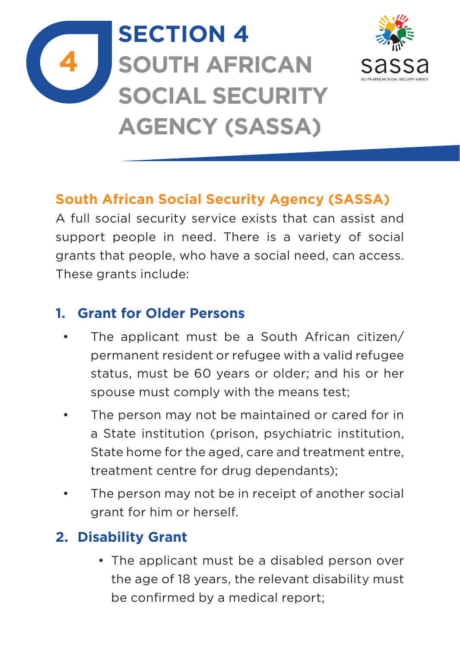

# **SECTION 4 SOUTH AFRICAN SOCIAL SECURITY AGENCY (SASSA)**



## **South African Social Security Agency (SASSA)**

A full social security service exists that can assist and support people in need. There is a variety of social grants that people, who have a social need, can access. These grants include:

### **1. Grant for Older Persons**

- The applicant must be a South African citizen/ permanent resident or refugee with a valid refugee status, must be 60 years or older; and his or her spouse must comply with the means test;
- • The person may not be maintained or cared for in a State institution (prison, psychiatric institution, State home for the aged, care and treatment entre, treatment centre for drug dependants);
- • The person may not be in receipt of another social grant for him or herself.

## **2. Disability Grant**

• The applicant must be a disabled person over the age of 18 years, the relevant disability must be confirmed by a medical report;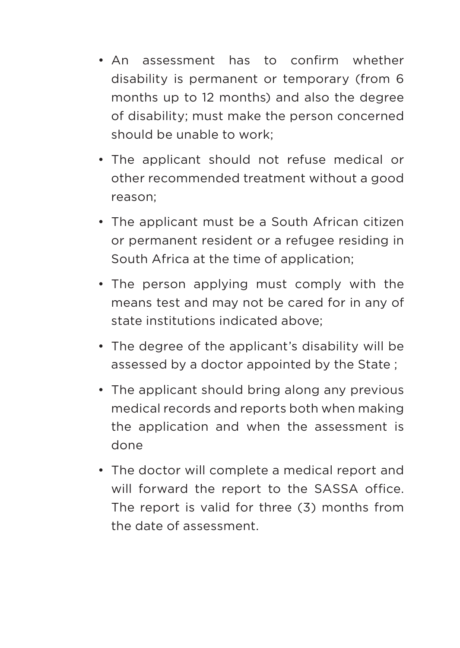- • An assessment has to confirm whether disability is permanent or temporary (from 6 months up to 12 months) and also the degree of disability; must make the person concerned should be unable to work;
- The applicant should not refuse medical or other recommended treatment without a good reason;
- The applicant must be a South African citizen or permanent resident or a refugee residing in South Africa at the time of application;
- The person applying must comply with the means test and may not be cared for in any of state institutions indicated above;
- The degree of the applicant's disability will be assessed by a doctor appointed by the State ;
- The applicant should bring along any previous medical records and reports both when making the application and when the assessment is done
- The doctor will complete a medical report and will forward the report to the SASSA office. The report is valid for three (3) months from the date of assessment.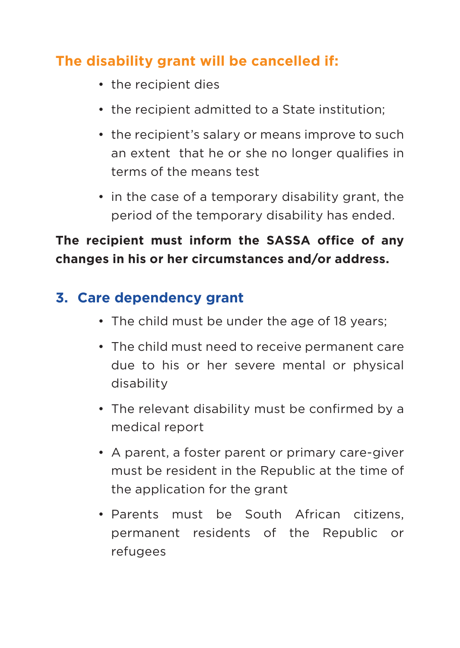### **The disability grant will be cancelled if:**

- the recipient dies
- the recipient admitted to a State institution:
- the recipient's salary or means improve to such an extent that he or she no longer qualifies in terms of the means test
- in the case of a temporary disability grant, the period of the temporary disability has ended.

### **The recipient must inform the SASSA office of any changes in his or her circumstances and/or address.**

### **3. Care dependency grant**

- The child must be under the age of 18 years:
- • The child must need to receive permanent care due to his or her severe mental or physical disability
- The relevant disability must be confirmed by a medical report
- A parent, a foster parent or primary care-giver must be resident in the Republic at the time of the application for the grant
- Parents must be South African citizens, permanent residents of the Republic or refugees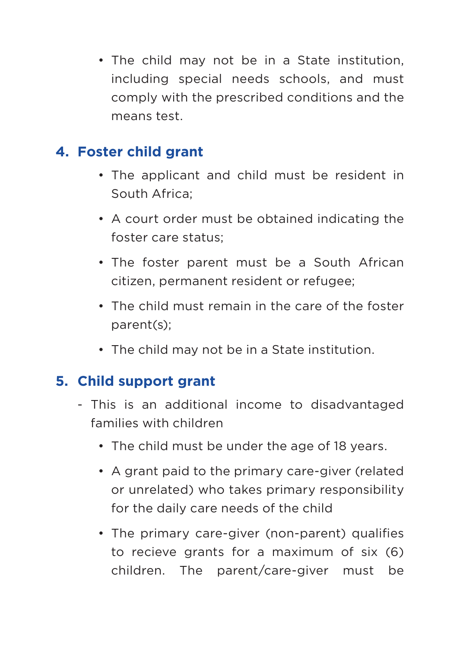• The child may not be in a State institution, including special needs schools, and must comply with the prescribed conditions and the means test.

#### **4. Foster child grant**

- The applicant and child must be resident in South Africa;
- • A court order must be obtained indicating the foster care status;
- The foster parent must be a South African citizen, permanent resident or refugee;
- The child must remain in the care of the foster parent(s);
- The child may not be in a State institution.

## **5. Child support grant**

- This is an additional income to disadvantaged families with children
	- The child must be under the age of 18 years.
	- A grant paid to the primary care-giver (related or unrelated) who takes primary responsibility for the daily care needs of the child
	- The primary care-giver (non-parent) qualifies to recieve grants for a maximum of six (6) children. The parent/care-giver must be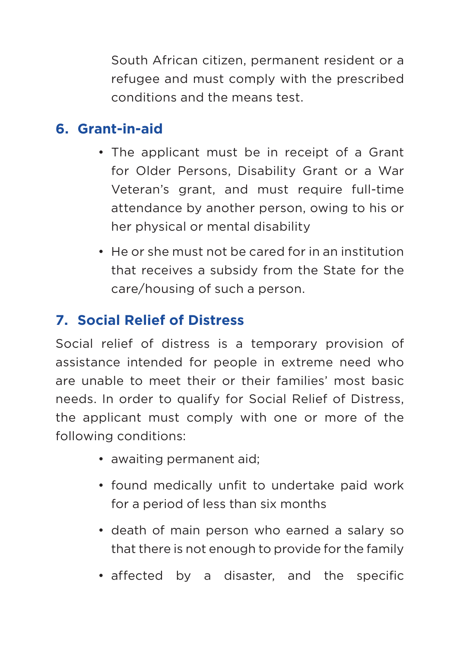South African citizen, permanent resident or a refugee and must comply with the prescribed conditions and the means test.

### **6. Grant-in-aid**

- The applicant must be in receipt of a Grant for Older Persons, Disability Grant or a War Veteran's grant, and must require full-time attendance by another person, owing to his or her physical or mental disability
- He or she must not be cared for in an institution that receives a subsidy from the State for the care/housing of such a person.

## **7. Social Relief of Distress**

Social relief of distress is a temporary provision of assistance intended for people in extreme need who are unable to meet their or their families' most basic needs. In order to qualify for Social Relief of Distress, the applicant must comply with one or more of the following conditions:

- awaiting permanent aid:
- found medically unfit to undertake paid work for a period of less than six months
- death of main person who earned a salary so that there is not enough to provide for the family
- affected by a disaster, and the specific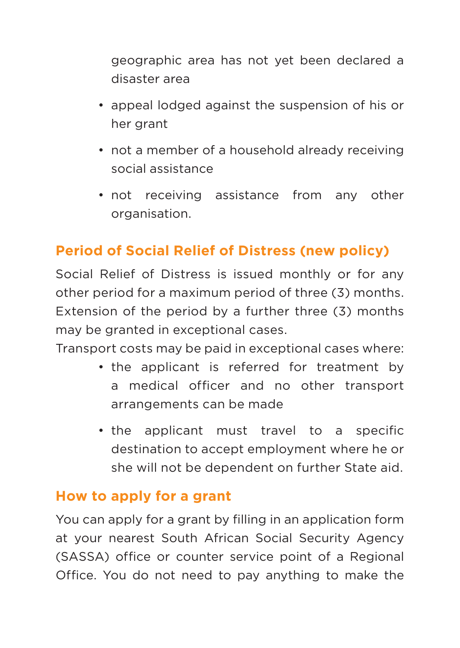geographic area has not yet been declared a disaster area

- appeal lodged against the suspension of his or her grant
- not a member of a household already receiving social assistance
- not receiving assistance from any other organisation.

## **Period of Social Relief of Distress (new policy)**

Social Relief of Distress is issued monthly or for any other period for a maximum period of three (3) months. Extension of the period by a further three (3) months may be granted in exceptional cases.

Transport costs may be paid in exceptional cases where:

- the applicant is referred for treatment by a medical officer and no other transport arrangements can be made
- the applicant must travel to a specific destination to accept employment where he or she will not be dependent on further State aid.

#### **How to apply for a grant**

You can apply for a grant by filling in an application form at your nearest South African Social Security Agency (SASSA) office or counter service point of a Regional Office. You do not need to pay anything to make the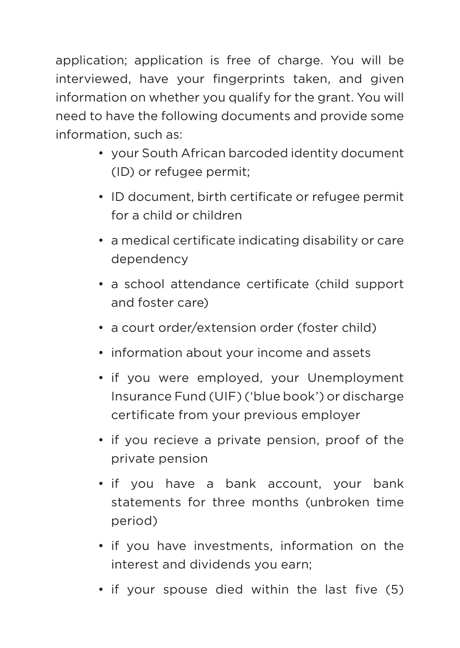application; application is free of charge. You will be interviewed, have your fingerprints taken, and given information on whether you qualify for the grant. You will need to have the following documents and provide some information, such as:

- • your South African barcoded identity document (ID) or refugee permit;
- ID document, birth certificate or refugee permit for a child or children
- • a medical certificate indicating disability or care dependency
- a school attendance certificate (child support and foster care)
- a court order/extension order (foster child)
- information about your income and assets
- if you were employed, your Unemployment Insurance Fund (UIF) ('blue book') or discharge certificate from your previous employer
- if you recieve a private pension, proof of the private pension
- if you have a bank account, your bank statements for three months (unbroken time period)
- if you have investments, information on the interest and dividends you earn;
- if your spouse died within the last five (5)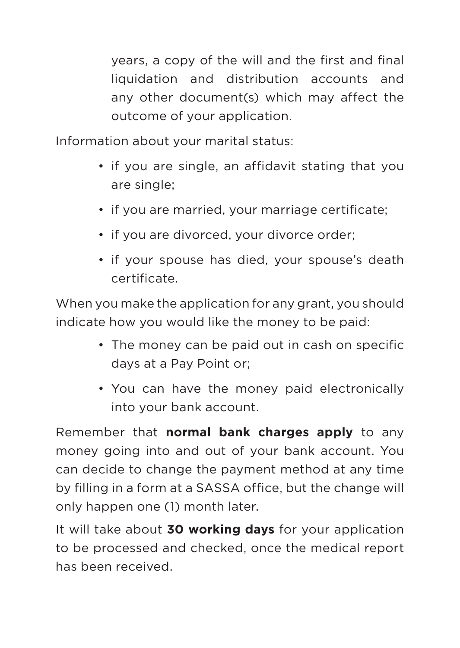years, a copy of the will and the first and final liquidation and distribution accounts and any other document(s) which may affect the outcome of your application.

Information about your marital status:

- if you are single, an affidavit stating that you are single;
- if you are married, your marriage certificate;
- if you are divorced, your divorce order;
- if your spouse has died, your spouse's death certificate.

When you make the application for any grant, you should indicate how you would like the money to be paid:

- The money can be paid out in cash on specific days at a Pay Point or;
- • You can have the money paid electronically into your bank account.

Remember that **normal bank charges apply** to any money going into and out of your bank account. You can decide to change the payment method at any time by filling in a form at a SASSA office, but the change will only happen one (1) month later.

It will take about **30 working days** for your application to be processed and checked, once the medical report has been received.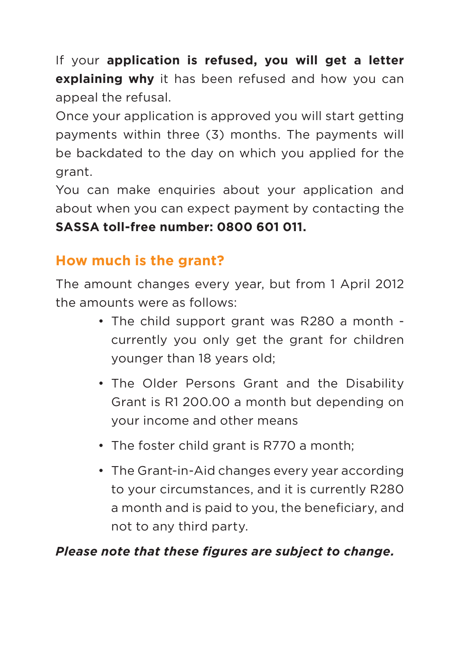If your **application is refused, you will get a letter explaining why** it has been refused and how you can appeal the refusal.

Once your application is approved you will start getting payments within three (3) months. The payments will be backdated to the day on which you applied for the grant.

You can make enquiries about your application and about when you can expect payment by contacting the **SASSA toll-free number: 0800 601 011.**

### **How much is the grant?**

The amount changes every year, but from 1 April 2012 the amounts were as follows:

- The child support grant was R280 a month currently you only get the grant for children younger than 18 years old;
- The Older Persons Grant and the Disability Grant is R1 200.00 a month but depending on your income and other means
- The foster child grant is R770 a month:
- The Grant-in-Aid changes every year according to your circumstances, and it is currently R280 a month and is paid to you, the beneficiary, and not to any third party.

#### *Please note that these figures are subject to change.*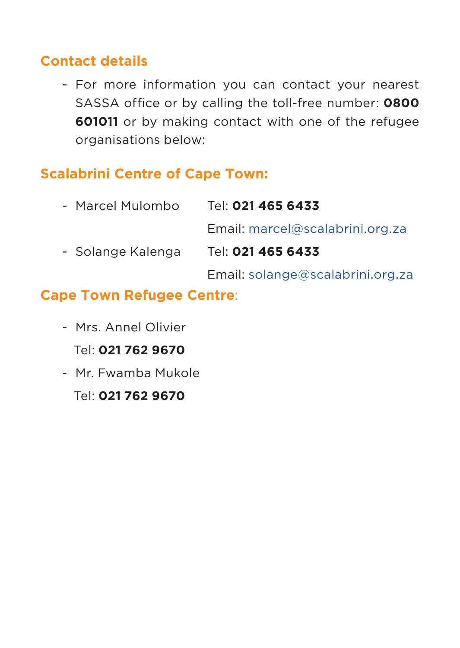#### **Contact details**

- For more information you can contact your nearest SASSA office or by calling the toll-free number: **0800 601011** or by making contact with one of the refugee organisations below:

## **Scalabrini Centre of Cape Town:**

| Tel: 021 465 6433                |
|----------------------------------|
| Email: marcel@scalabrini.org.za  |
| Tel: 021 465 6433                |
| Email: solange@scalabrini.org.za |
|                                  |

#### **Cape Town Refugee Centre**:

- Mrs. Annel Olivier Tel: **021 762 9670**
- Mr. Fwamba Mukole

Tel: **021 762 9670**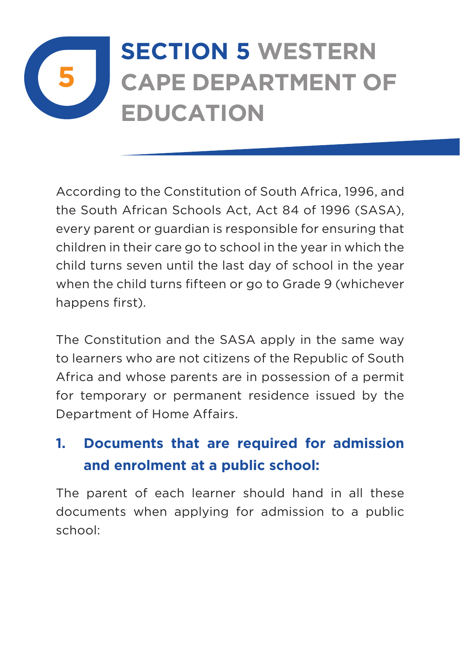## **5 SECTION 5 Western Cape Department of Education**

According to the Constitution of South Africa, 1996, and the South African Schools Act, Act 84 of 1996 (SASA), every parent or guardian is responsible for ensuring that children in their care go to school in the year in which the child turns seven until the last day of school in the year when the child turns fifteen or go to Grade 9 (whichever happens first).

The Constitution and the SASA apply in the same way to learners who are not citizens of the Republic of South Africa and whose parents are in possession of a permit for temporary or permanent residence issued by the Department of Home Affairs.

## **1. Documents that are required for admission and enrolment at a public school:**

The parent of each learner should hand in all these documents when applying for admission to a public school: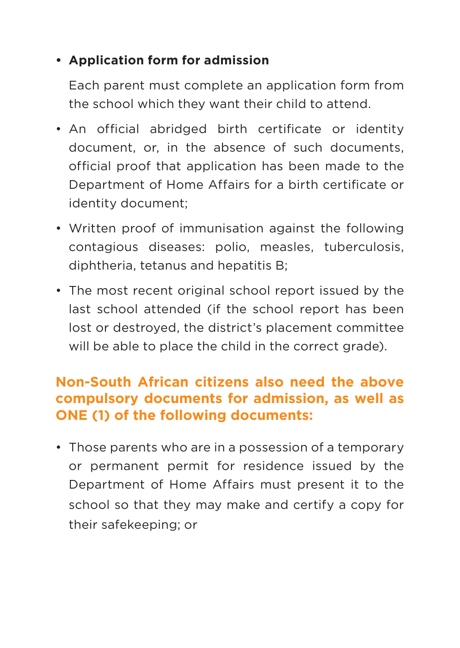#### **• Application form for admission**

Each parent must complete an application form from the school which they want their child to attend.

- An official abridged birth certificate or identity document, or, in the absence of such documents, official proof that application has been made to the Department of Home Affairs for a birth certificate or identity document;
- Written proof of immunisation against the following contagious diseases: polio, measles, tuberculosis, diphtheria, tetanus and hepatitis B;
- The most recent original school report issued by the last school attended (if the school report has been lost or destroyed, the district's placement committee will be able to place the child in the correct grade).

#### **Non-South African citizens also need the above compulsory documents for admission, as well as ONE (1) of the following documents:**

• Those parents who are in a possession of a temporary or permanent permit for residence issued by the Department of Home Affairs must present it to the school so that they may make and certify a copy for their safekeeping; or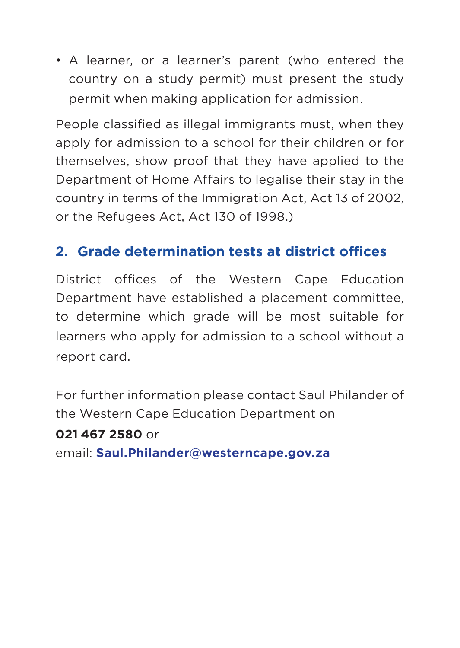• A learner, or a learner's parent (who entered the country on a study permit) must present the study permit when making application for admission.

People classified as illegal immigrants must, when they apply for admission to a school for their children or for themselves, show proof that they have applied to the Department of Home Affairs to legalise their stay in the country in terms of the Immigration Act, Act 13 of 2002, or the Refugees Act, Act 130 of 1998.)

## **2. Grade determination tests at district offices**

District offices of the Western Cape Education Department have established a placement committee, to determine which grade will be most suitable for learners who apply for admission to a school without a report card.

For further information please contact Saul Philander of the Western Cape Education Department on

#### **021 467 2580** or

email: **Saul.Philander@westerncape.gov.za**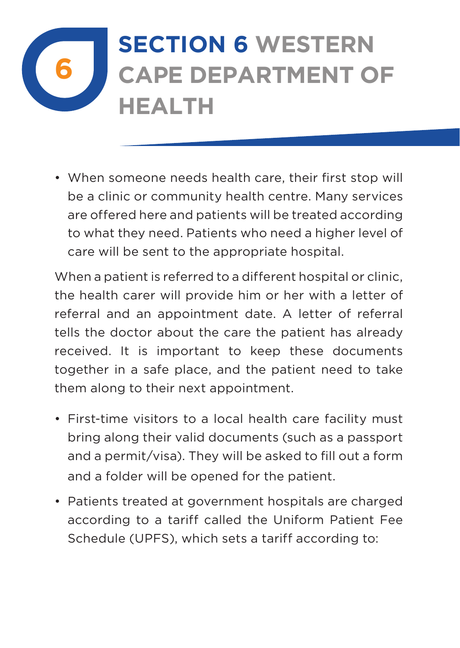## **6 SECTION 6 Western Cape Department of Health**

• When someone needs health care, their first stop will be a clinic or community health centre. Many services are offered here and patients will be treated according to what they need. Patients who need a higher level of care will be sent to the appropriate hospital.

When a patient is referred to a different hospital or clinic, the health carer will provide him or her with a letter of referral and an appointment date. A letter of referral tells the doctor about the care the patient has already received. It is important to keep these documents together in a safe place, and the patient need to take them along to their next appointment.

- First-time visitors to a local health care facility must bring along their valid documents (such as a passport and a permit/visa). They will be asked to fill out a form and a folder will be opened for the patient.
- Patients treated at government hospitals are charged according to a tariff called the Uniform Patient Fee Schedule (UPFS), which sets a tariff according to: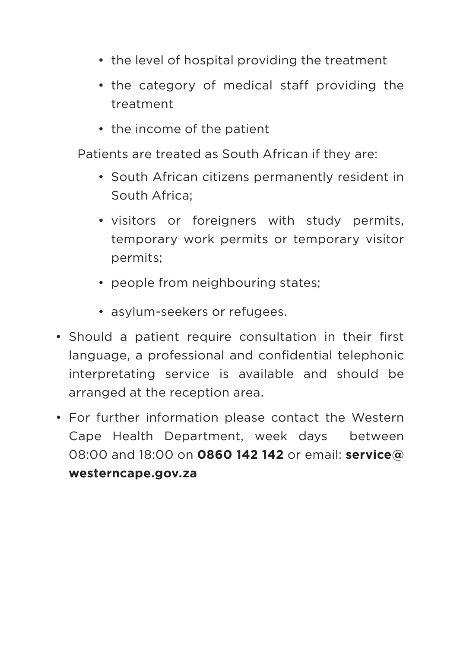- the level of hospital providing the treatment
- the category of medical staff providing the treatment
- the income of the patient

Patients are treated as South African if they are:

- South African citizens permanently resident in South Africa;
- • visitors or foreigners with study permits, temporary work permits or temporary visitor permits;
- people from neighbouring states;
- asylum-seekers or refugees.
- Should a patient require consultation in their first language, a professional and confidential telephonic interpretating service is available and should be arranged at the reception area.
- For further information please contact the Western Cape Health Department, week days between 08:00 and 18:00 on **0860 142 142** or email: **service@ westerncape.gov.za**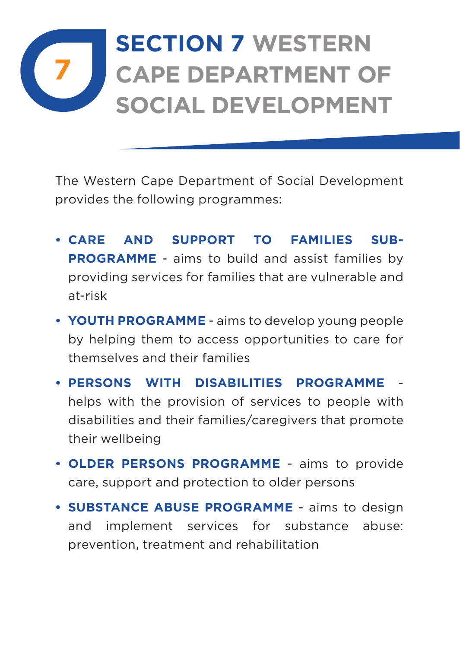## **7 SECTION 7 Western Cape Department of Social Development**

The Western Cape Department of Social Development provides the following programmes:

- **• CARE AND SUPPORT TO FAMILIES SUB-PROGRAMME** - aims to build and assist families by providing services for families that are vulnerable and at-risk
- **• YOUTH PROGRAMME** aims to develop young people by helping them to access opportunities to care for themselves and their families
- **• PERSONS WITH DISABILITIES PROGRAMME** helps with the provision of services to people with disabilities and their families/caregivers that promote their wellbeing
- **• OLDER PERSONS PROGRAMME** aims to provide care, support and protection to older persons
- **• SUBSTANCE ABUSE PROGRAMME** aims to design and implement services for substance abuse: prevention, treatment and rehabilitation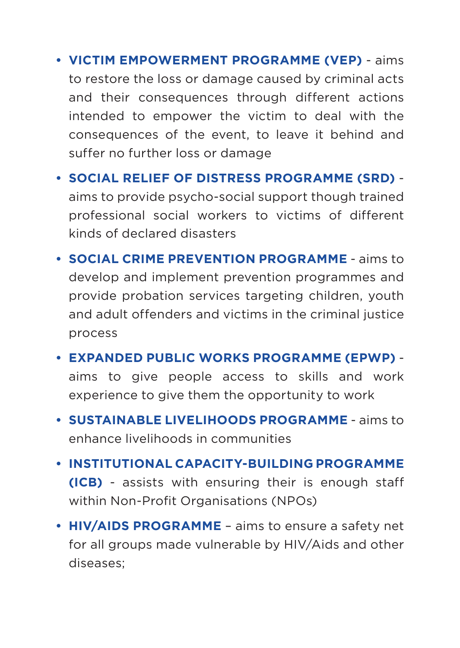- **• VICTIM EMPOWERMENT PROGRAMME (VEP)** aims to restore the loss or damage caused by criminal acts and their consequences through different actions intended to empower the victim to deal with the consequences of the event, to leave it behind and suffer no further loss or damage
- **• SOCIAL RELIEF OF DISTRESS PROGRAMME (SRD)** aims to provide psycho-social support though trained professional social workers to victims of different kinds of declared disasters
- **• SOCIAL CRIME PREVENTION PROGRAMME** aims to develop and implement prevention programmes and provide probation services targeting children, youth and adult offenders and victims in the criminal justice process
- **• EXPANDED PUBLIC WORKS PROGRAMME (EPWP)** aims to give people access to skills and work experience to give them the opportunity to work
- **• SUSTAINABLE LIVELIHOODS PROGRAMME** aims to enhance livelihoods in communities
- **• INSTITUTIONAL CAPACITY-BUILDING PROGRAMME (ICB)** - assists with ensuring their is enough staff within Non-Profit Organisations (NPOs)
- **• HIV/AIDS PROGRAMME** aims to ensure a safety net for all groups made vulnerable by HIV/Aids and other diseases;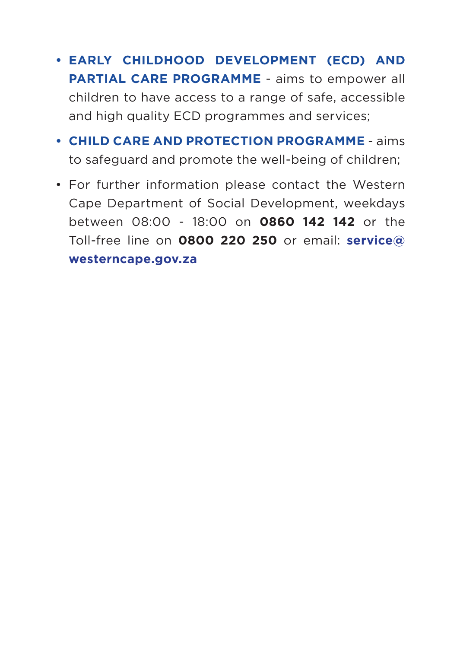- **• EARLY CHILDHOOD DEVELOPMENT (ECD) AND PARTIAL CARE PROGRAMME** - aims to empower all children to have access to a range of safe, accessible and high quality ECD programmes and services;
- **• CHILD CARE AND PROTECTION PROGRAMME**  aims to safeguard and promote the well-being of children;
- For further information please contact the Western Cape Department of Social Development, weekdays between 08:00 - 18:00 on **0860 142 142** or the Toll-free line on **0800 220 250** or email: **service@ westerncape.gov.za**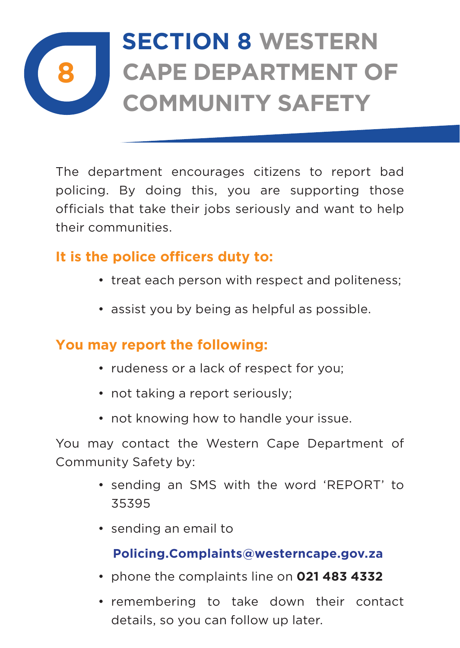## **8 SECTION 8 Western Cape Department of Community Safety**

The department encourages citizens to report bad policing. By doing this, you are supporting those officials that take their jobs seriously and want to help their communities.

## **It is the police officers duty to:**

- treat each person with respect and politeness:
- assist you by being as helpful as possible.

#### **You may report the following:**

- rudeness or a lack of respect for you:
- not taking a report seriously:
- not knowing how to handle your issue.

You may contact the Western Cape Department of Community Safety by:

- • sending an SMS with the word 'REPORT' to 35395
- • sending an email to

#### **Policing.Complaints@westerncape.gov.za**

- • phone the complaints line on **021 483 4332**
- • remembering to take down their contact details, so you can follow up later.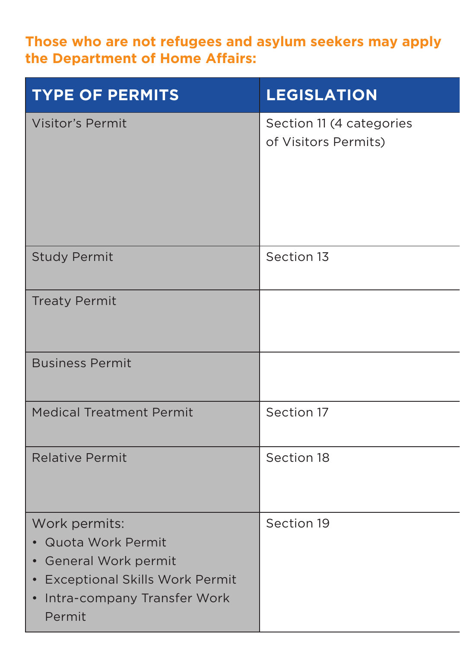#### Those who are not refugees and asylum seekers may apply **the Department of Home Affairs:**

| <b>TYPE OF PERMITS</b>                                                                                                                       | <b>LEGISLATION</b>                               |
|----------------------------------------------------------------------------------------------------------------------------------------------|--------------------------------------------------|
| Visitor's Permit                                                                                                                             | Section 11 (4 categories<br>of Visitors Permits) |
| <b>Study Permit</b>                                                                                                                          | Section 13                                       |
| <b>Treaty Permit</b>                                                                                                                         |                                                  |
| <b>Business Permit</b>                                                                                                                       |                                                  |
| <b>Medical Treatment Permit</b>                                                                                                              | Section 17                                       |
| <b>Relative Permit</b>                                                                                                                       | Section 18                                       |
| Work permits:<br>• Quota Work Permit<br>• General Work permit<br>• Exceptional Skills Work Permit<br>• Intra-company Transfer Work<br>Permit | Section 19                                       |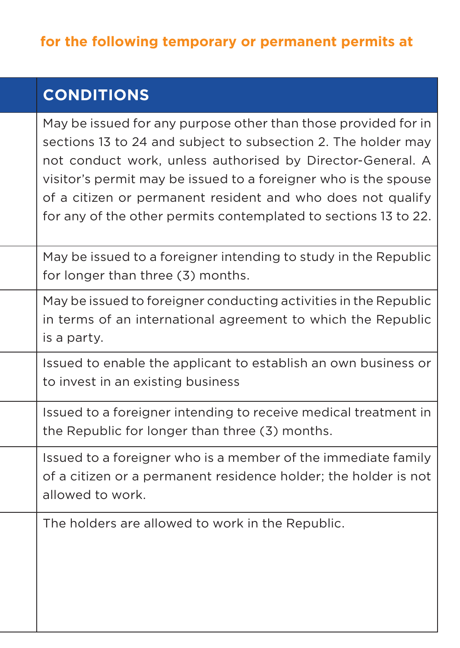| <b>CONDITIONS</b>                                                                                                                                                                                                                                                                                                                                                                                  |
|----------------------------------------------------------------------------------------------------------------------------------------------------------------------------------------------------------------------------------------------------------------------------------------------------------------------------------------------------------------------------------------------------|
| May be issued for any purpose other than those provided for in<br>sections 13 to 24 and subject to subsection 2. The holder may<br>not conduct work, unless authorised by Director-General. A<br>visitor's permit may be issued to a foreigner who is the spouse<br>of a citizen or permanent resident and who does not qualify<br>for any of the other permits contemplated to sections 13 to 22. |
| May be issued to a foreigner intending to study in the Republic<br>for longer than three (3) months.                                                                                                                                                                                                                                                                                               |
| May be issued to foreigner conducting activities in the Republic<br>in terms of an international agreement to which the Republic<br>is a party.                                                                                                                                                                                                                                                    |
| Issued to enable the applicant to establish an own business or<br>to invest in an existing business                                                                                                                                                                                                                                                                                                |
| Issued to a foreigner intending to receive medical treatment in<br>the Republic for longer than three (3) months.                                                                                                                                                                                                                                                                                  |
| Issued to a foreigner who is a member of the immediate family<br>of a citizen or a permanent residence holder; the holder is not<br>allowed to work.                                                                                                                                                                                                                                               |
| The holders are allowed to work in the Republic.                                                                                                                                                                                                                                                                                                                                                   |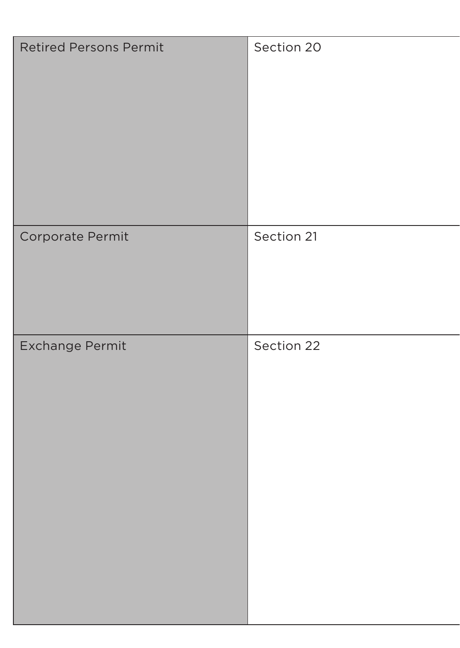| Retired Persons Permit | Section 20 |  |  |  |
|------------------------|------------|--|--|--|
| Corporate Permit       | Section 21 |  |  |  |
| Exchange Permit        | Section 22 |  |  |  |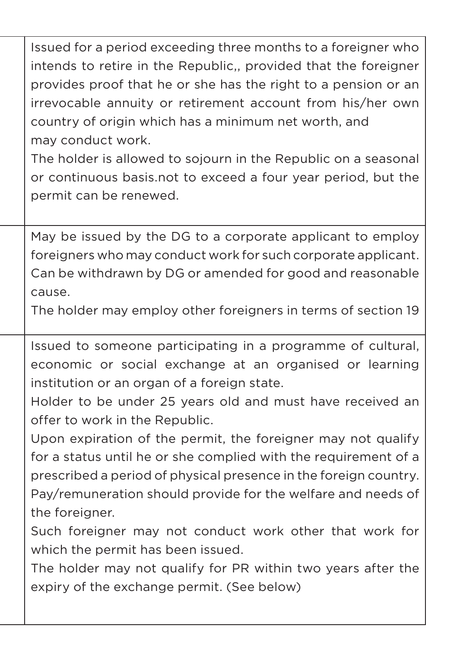Issued for a period exceeding three months to a foreigner who intends to retire in the Republic,, provided that the foreigner provides proof that he or she has the right to a pension or an irrevocable annuity or retirement account from his/her own country of origin which has a minimum net worth, and may conduct work.

The holder is allowed to sojourn in the Republic on a seasonal or continuous basis.not to exceed a four year period, but the permit can be renewed.

May be issued by the DG to a corporate applicant to employ foreigners who may conduct work for such corporate applicant. Can be withdrawn by DG or amended for good and reasonable cause.

The holder may employ other foreigners in terms of section 19

Issued to someone participating in a programme of cultural. economic or social exchange at an organised or learning institution or an organ of a foreign state.

Holder to be under 25 years old and must have received an offer to work in the Republic.

Upon expiration of the permit, the foreigner may not qualify for a status until he or she complied with the requirement of a prescribed a period of physical presence in the foreign country. Pay/remuneration should provide for the welfare and needs of the foreigner.

Such foreigner may not conduct work other that work for which the permit has been issued.

The holder may not qualify for PR within two years after the expiry of the exchange permit. (See below)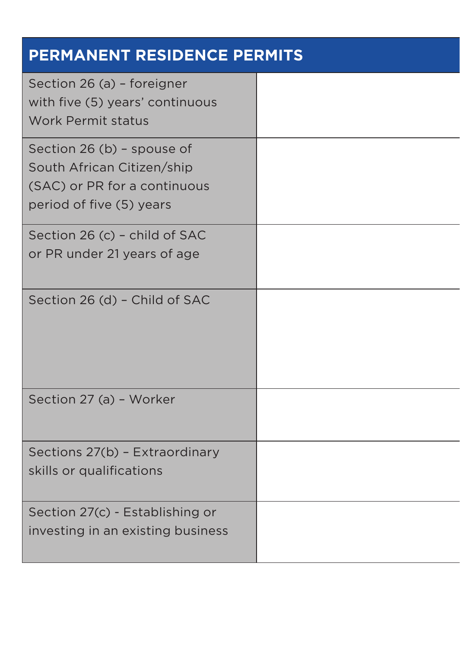| PERMANENT RESIDENCE PERMITS                                                                                          |  |  |
|----------------------------------------------------------------------------------------------------------------------|--|--|
| Section 26 (a) - foreigner<br>with five (5) years' continuous<br>Work Permit status                                  |  |  |
| Section 26 (b) - spouse of<br>South African Citizen/ship<br>(SAC) or PR for a continuous<br>period of five (5) years |  |  |
| Section 26 (c) - child of SAC<br>or PR under 21 years of age                                                         |  |  |
| Section 26 (d) - Child of SAC                                                                                        |  |  |
| Section 27 (a) - Worker                                                                                              |  |  |
| Sections 27(b) - Extraordinary<br>skills or qualifications                                                           |  |  |
| Section 27(c) - Establishing or<br>investing in an existing business                                                 |  |  |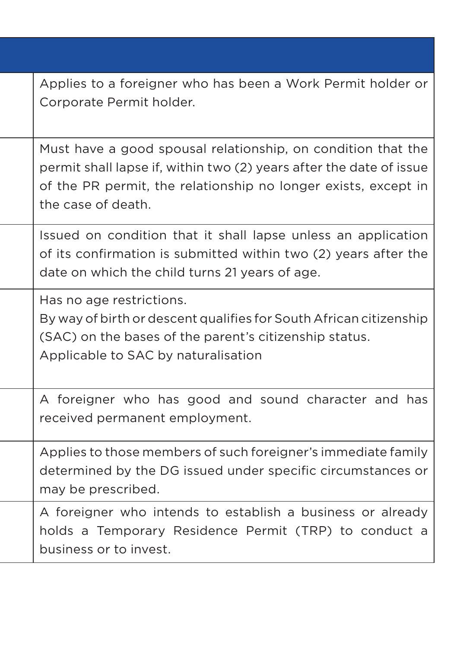| Applies to a foreigner who has been a Work Permit holder or<br>Corporate Permit holder.                                                                                                                                     |
|-----------------------------------------------------------------------------------------------------------------------------------------------------------------------------------------------------------------------------|
| Must have a good spousal relationship, on condition that the<br>permit shall lapse if, within two (2) years after the date of issue<br>of the PR permit, the relationship no longer exists, except in<br>the case of death. |
| Issued on condition that it shall lapse unless an application<br>of its confirmation is submitted within two (2) years after the<br>date on which the child turns 21 years of age.                                          |
| Has no age restrictions.<br>By way of birth or descent qualifies for South African citizenship<br>(SAC) on the bases of the parent's citizenship status.<br>Applicable to SAC by naturalisation                             |
| A foreigner who has good and sound character and has<br>received permanent employment.                                                                                                                                      |
| Applies to those members of such foreigner's immediate family<br>determined by the DG issued under specific circumstances or<br>may be prescribed.                                                                          |
| A foreigner who intends to establish a business or already<br>holds a Temporary Residence Permit (TRP) to conduct a<br>business or to invest.                                                                               |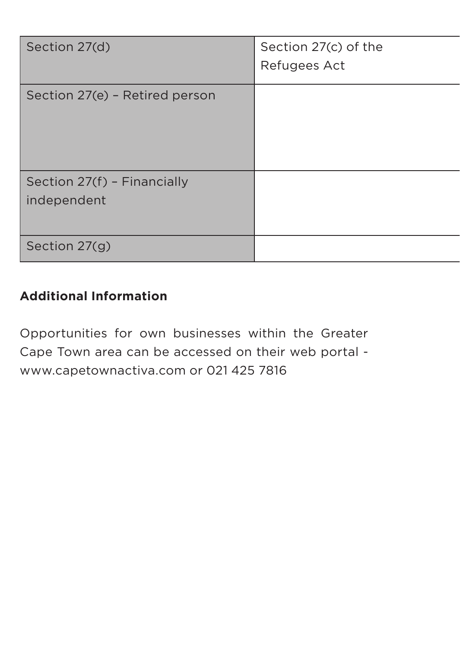| Section 27(d)                  | Section 27(c) of the<br>Refugees Act |  |  |
|--------------------------------|--------------------------------------|--|--|
| Section 27(e) - Retired person |                                      |  |  |
| Section 27(f) - Financially    |                                      |  |  |
| independent                    |                                      |  |  |
| Section 27(g)                  |                                      |  |  |

#### **Additional Information**

Opportunities for own businesses within the Greater Cape Town area can be accessed on their web portal www.capetownactiva.com or 021 425 7816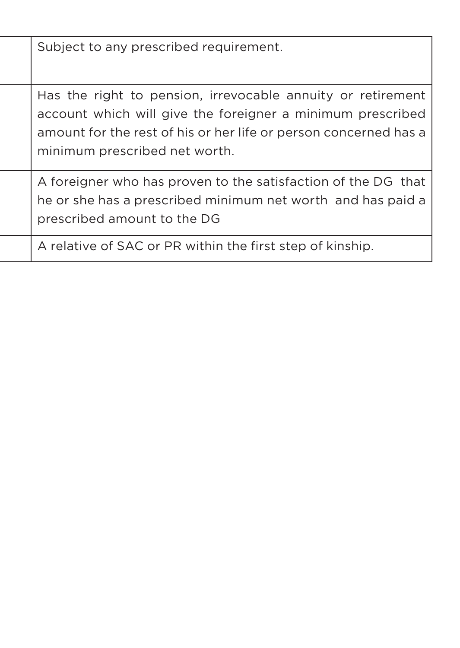Subject to any prescribed requirement. Has the right to pension, irrevocable annuity or retirement account which will give the foreigner a minimum prescribed amount for the rest of his or her life or person concerned has a minimum prescribed net worth. A foreigner who has proven to the satisfaction of the DG that he or she has a prescribed minimum net worth and has paid a prescribed amount to the DG A relative of SAC or PR within the first step of kinship.